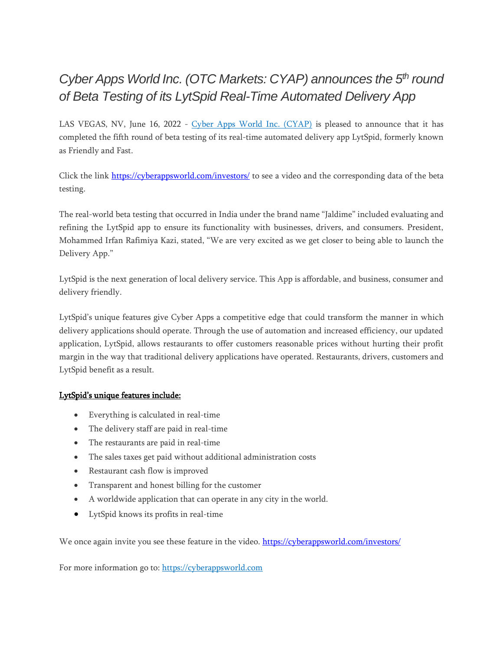# *Cyber Apps World Inc. (OTC Markets: CYAP) announces the 5 th round of Beta Testing of its LytSpid Real-Time Automated Delivery App*

LAS VEGAS, NV, June 16, 2022 - [Cyber Apps World Inc. \(CYAP\)](https://cyberappsworld.com/) is pleased to announce that it has completed the fifth round of beta testing of its real-time automated delivery app LytSpid, formerly known as Friendly and Fast.

Click the link<https://cyberappsworld.com/investors/> to see a video and the corresponding data of the beta testing.

The real-world beta testing that occurred in India under the brand name "Jaldime" included evaluating and refining the LytSpid app to ensure its functionality with businesses, drivers, and consumers. President, Mohammed Irfan Rafimiya Kazi, stated, "We are very excited as we get closer to being able to launch the Delivery App."

LytSpid is the next generation of local delivery service. This App is affordable, and business, consumer and delivery friendly.

LytSpid's unique features give Cyber Apps a competitive edge that could transform the manner in which delivery applications should operate. Through the use of automation and increased efficiency, our updated application, LytSpid, allows restaurants to offer customers reasonable prices without hurting their profit margin in the way that traditional delivery applications have operated. Restaurants, drivers, customers and LytSpid benefit as a result.

## LytSpid's unique features include:

- Everything is calculated in real-time
- The delivery staff are paid in real-time
- The restaurants are paid in real-time
- The sales taxes get paid without additional administration costs
- Restaurant cash flow is improved
- Transparent and honest billing for the customer
- A worldwide application that can operate in any city in the world.
- LytSpid knows its profits in real-time

We once again invite you see these feature in the video.<https://cyberappsworld.com/investors/>

For more information go to: [https://cyberappsworld.com](https://cyberappsworld.com/)